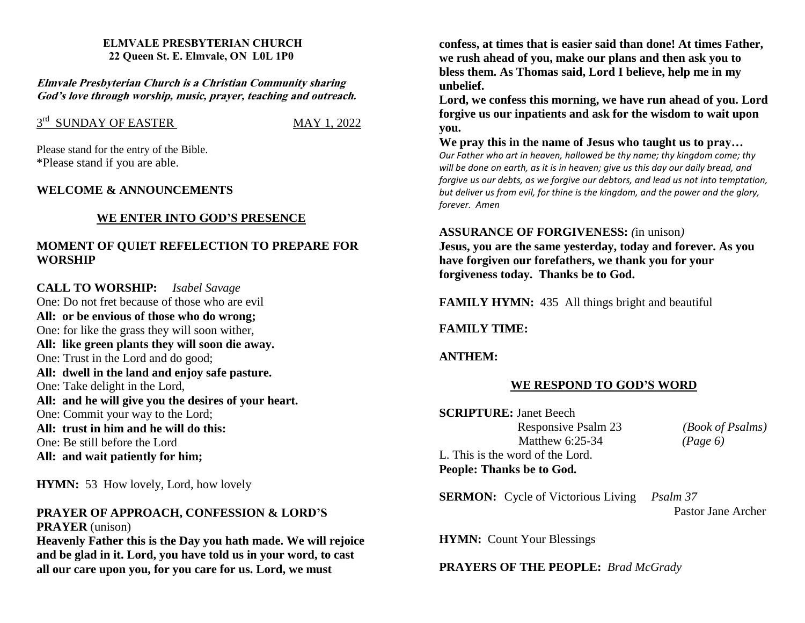#### **ELMVALE PRESBYTERIAN CHURCH 22 Queen St. E. Elmvale, ON L0L 1P0**

**Elmvale Presbyterian Church is <sup>a</sup> Christian Community sharing God'<sup>s</sup> love through worship, music, prayer, teaching and outreach.**

# $3<sup>rd</sup>$  SUNDAY OF EASTER MAY 1, 2022

Please stand for the entry of the Bible. \*Please stand if you are able.

### **WELCOME & ANNOUNCEMENTS**

### **WE ENTER INTO GOD'S PRESENCE**

## **MOMENT OF QUIET REFELECTION TO PREPARE FOR WORSHIP**

**CALL TO WORSHIP:** *Isabel Savage* One: Do not fret because of those who are evil **All: or be envious of those who do wrong;** One: for like the grass they will soon wither, **All: like green plants they will soon die away.** One: Trust in the Lord and do good; **All: dwell in the land and enjoy safe pasture.** One: Take delight in the Lord, **All: and he will give you the desires of your heart.** One: Commit your way to the Lord; **All: trust in him and he will do this:** One: Be still before the Lord **All: and wait patiently for him;**

**HYMN:** 53 How lovely, Lord, how lovely

#### **PRAYER OF APPROACH, CONFESSION & LORD'S PRAYER** (unison)

**Heavenly Father this is the Day you hath made. We will rejoice and be glad in it. Lord, you have told us in your word, to cast all our care upon you, for you care for us. Lord, we must**

**confess, at times that is easier said than done! At times Father, we rush ahead of you, make our plans and then ask you to bless them. As Thomas said, Lord I believe, help me in my unbelief.**

**Lord, we confess this morning, we have run ahead of you. Lord forgive us our inpatients and ask for the wisdom to wait upon you.**

**We pray this in the name of Jesus who taught us to pray…** *Our Father who art in heaven, hallowed be thy name; thy kingdom come; thy will be done on earth, as it is in heaven; give us this day our daily bread, and forgive us our debts, as we forgive our debtors, and lead us not into temptation, but deliver us from evil, for thine is the kingdom, and the power and the glory, forever. Amen*

#### **ASSURANCE OF FORGIVENESS:** *(*in unison*)*

**Jesus, you are the same yesterday, today and forever. As you have forgiven our forefathers, we thank you for your forgiveness today. Thanks be to God.**

**FAMILY HYMN:** 435 All things bright and beautiful

#### **FAMILY TIME:**

#### **ANTHEM:**

#### **WE RESPOND TO GOD'S WORD**

**SCRIPTURE:** Janet Beech Responsive Psalm 23 *(Book of Psalms)* Matthew 6:25-34 *(Page 6)* L. This is the word of the Lord. **People: Thanks be to God***.* 

**SERMON:** Cycle of Victorious Living *Psalm 37*

Pastor Jane Archer

**HYMN:** Count Your Blessings

**PRAYERS OF THE PEOPLE:** *Brad McGrady*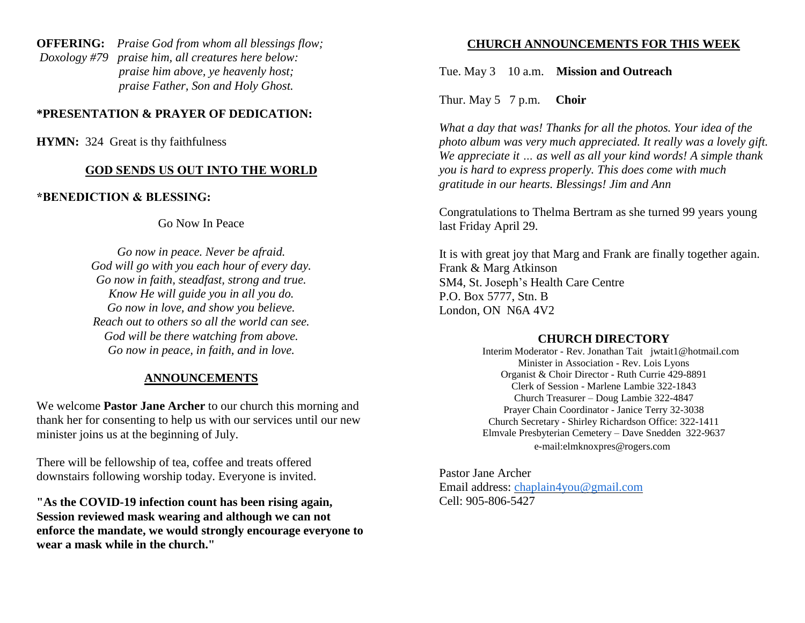**OFFERING:** *Praise God from whom all blessings flow; Doxology #79 praise him, all creatures here below: praise him above, ye heavenly host; praise Father, Son and Holy Ghost.* 

## **\*PRESENTATION & PRAYER OF DEDICATION:**

**HYMN:** 324 Great is thy faithfulness

#### **GOD SENDS US OUT INTO THE WORLD**

## **\*BENEDICTION & BLESSING:**

Go Now In Peace

*Go now in peace. Never be afraid. God will go with you each hour of every day. Go now in faith, steadfast, strong and true. Know He will guide you in all you do. Go now in love, and show you believe. Reach out to others so all the world can see. God will be there watching from above. Go now in peace, in faith, and in love.*

## **ANNOUNCEMENTS**

We welcome **Pastor Jane Archer** to our church this morning and thank her for consenting to help us with our services until our new minister joins us at the beginning of July.

There will be fellowship of tea, coffee and treats offered downstairs following worship today. Everyone is invited.

**"As the COVID-19 infection count has been rising again, Session reviewed mask wearing and although we can not enforce the mandate, we would strongly encourage everyone to wear a mask while in the church."**

#### **CHURCH ANNOUNCEMENTS FOR THIS WEEK**

Tue. May 3 10 a.m. **Mission and Outreach**

Thur. May 5 7 p.m. **Choir** 

*What a day that was! Thanks for all the photos. Your idea of the photo album was very much appreciated. It really was a lovely gift. We appreciate it … as well as all your kind words! A simple thank you is hard to express properly. This does come with much gratitude in our hearts. Blessings! Jim and Ann*

Congratulations to Thelma Bertram as she turned 99 years young last Friday April 29.

It is with great joy that Marg and Frank are finally together again. Frank & Marg Atkinson SM4, St. Joseph's Health Care Centre P.O. Box 5777, Stn. B London, ON N6A 4V2

#### **CHURCH DIRECTORY**

 Interim Moderator - Rev. Jonathan Tait jwtait1@hotmail.com Minister in Association - Rev. Lois Lyons Organist & Choir Director - Ruth Currie 429-8891 Clerk of Session - Marlene Lambie 322-1843 Church Treasurer – Doug Lambie 322-4847 Prayer Chain Coordinator - Janice Terry 32-3038 Church Secretary - Shirley Richardson Office: 322-1411 Elmvale Presbyterian Cemetery – Dave Snedden 322-9637 e-mail:elmknoxpres@rogers.com

Pastor Jane Archer Email address: [chaplain4you@gmail.com](mailto:chaplain4you@gmail.com) Cell: 905-806-5427